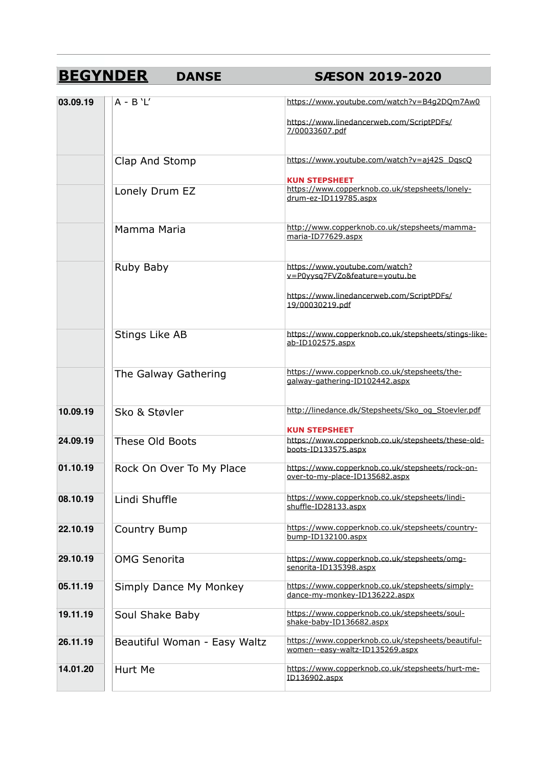## **BEGYNDER DANSE SÆSON 2019-2020**

| 03.09.19 | $A - B' L'$                  | https://www.youtube.com/watch?v=B4g2DQm7Aw0                                           |
|----------|------------------------------|---------------------------------------------------------------------------------------|
|          |                              | https://www.linedancerweb.com/ScriptPDFs/<br>7/00033607.pdf                           |
|          | Clap And Stomp               | https://www.youtube.com/watch?v=aj42S_DgscQ<br><b>KUN STEPSHEET</b>                   |
|          | Lonely Drum EZ               | https://www.copperknob.co.uk/stepsheets/lonely-<br>drum-ez-ID119785.aspx              |
|          | Mamma Maria                  | http://www.copperknob.co.uk/stepsheets/mamma-<br>maria-ID77629.aspx                   |
|          | Ruby Baby                    | https://www.youtube.com/watch?<br>v=P0yysq7FVZo&feature=youtu.be                      |
|          |                              | https://www.linedancerweb.com/ScriptPDFs/<br>19/00030219.pdf                          |
|          | Stings Like AB               | https://www.copperknob.co.uk/stepsheets/stings-like-<br>ab-ID102575.aspx              |
|          | The Galway Gathering         | https://www.copperknob.co.uk/stepsheets/the-<br>galway-gathering-ID102442.aspx        |
| 10.09.19 | Sko & Støvler                | http://linedance.dk/Stepsheets/Sko og Stoevler.pdf<br><b>KUN STEPSHEET</b>            |
| 24.09.19 | <b>These Old Boots</b>       | https://www.copperknob.co.uk/stepsheets/these-old-<br>boots-ID133575.aspx             |
| 01.10.19 | Rock On Over To My Place     | https://www.copperknob.co.uk/stepsheets/rock-on-<br>over-to-my-place-ID135682.aspx    |
| 08.10.19 | Lindi Shuffle                | https://www.copperknob.co.uk/stepsheets/lindi-<br>shuffle-ID28133.aspx                |
| 22.10.19 | Country Bump                 | https://www.copperknob.co.uk/stepsheets/country-<br>bump-ID132100.aspx                |
| 29.10.19 | <b>OMG Senorita</b>          | https://www.copperknob.co.uk/stepsheets/omg-<br>senorita-ID135398.aspx                |
| 05.11.19 | Simply Dance My Monkey       | https://www.copperknob.co.uk/stepsheets/simply-<br>dance-my-monkey-ID136222.aspx      |
| 19.11.19 | Soul Shake Baby              | https://www.copperknob.co.uk/stepsheets/soul-<br>shake-baby-ID136682.aspx             |
| 26.11.19 | Beautiful Woman - Easy Waltz | https://www.copperknob.co.uk/stepsheets/beautiful-<br>women--easy-waltz-ID135269.aspx |
| 14.01.20 | Hurt Me                      | https://www.copperknob.co.uk/stepsheets/hurt-me-<br>ID136902.aspx                     |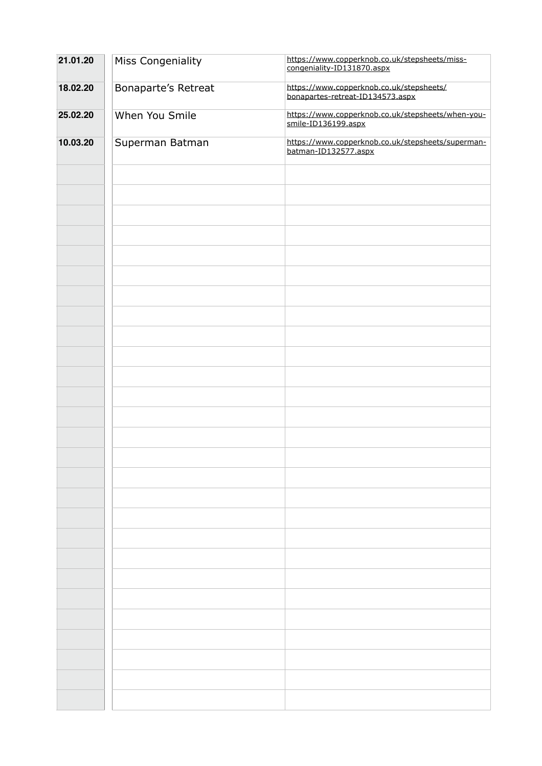| 21.01.20 | Miss Congeniality   | https://www.copperknob.co.uk/stepsheets/miss-<br>congeniality-ID131870.aspx  |
|----------|---------------------|------------------------------------------------------------------------------|
| 18.02.20 | Bonaparte's Retreat | https://www.copperknob.co.uk/stepsheets/<br>bonapartes-retreat-ID134573.aspx |
| 25.02.20 | When You Smile      | https://www.copperknob.co.uk/stepsheets/when-you-<br>smile-ID136199.aspx     |
| 10.03.20 | Superman Batman     | https://www.copperknob.co.uk/stepsheets/superman-<br>batman-ID132577.aspx    |
|          |                     |                                                                              |
|          |                     |                                                                              |
|          |                     |                                                                              |
|          |                     |                                                                              |
|          |                     |                                                                              |
|          |                     |                                                                              |
|          |                     |                                                                              |
|          |                     |                                                                              |
|          |                     |                                                                              |
|          |                     |                                                                              |
|          |                     |                                                                              |
|          |                     |                                                                              |
|          |                     |                                                                              |
|          |                     |                                                                              |
|          |                     |                                                                              |
|          |                     |                                                                              |
|          |                     |                                                                              |
|          |                     |                                                                              |
|          |                     |                                                                              |
|          |                     |                                                                              |
|          |                     |                                                                              |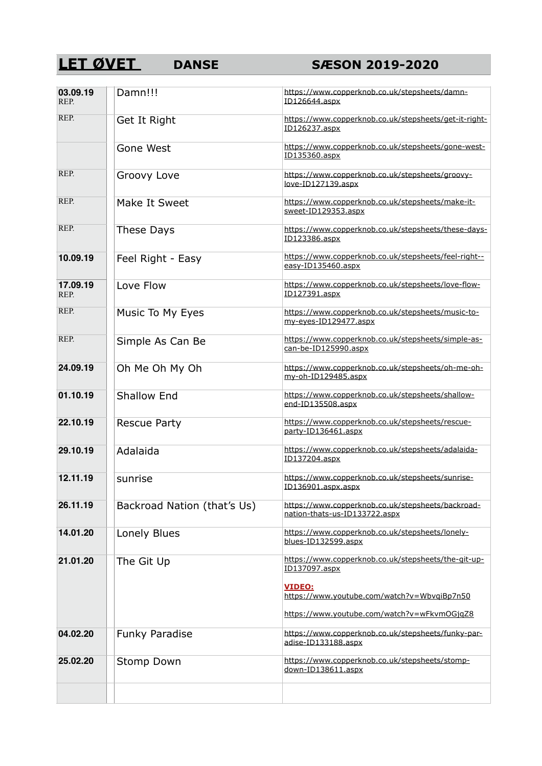# **LET ØVET** DANSE SÆSON 2019-2020

| 03.09.19<br>REP. | Damn!!!                     | https://www.copperknob.co.uk/stepsheets/damn-<br>ID126644.aspx                     |
|------------------|-----------------------------|------------------------------------------------------------------------------------|
| REP.             | Get It Right                | https://www.copperknob.co.uk/stepsheets/get-it-right-<br>ID126237.aspx             |
|                  | Gone West                   | https://www.copperknob.co.uk/stepsheets/gone-west-<br>ID135360.aspx                |
| REP.             | Groovy Love                 | https://www.copperknob.co.uk/stepsheets/groovy-<br>love-ID127139.aspx              |
| REP.             | Make It Sweet               | https://www.copperknob.co.uk/stepsheets/make-it-<br>sweet-ID129353.aspx            |
| REP.             | These Days                  | https://www.copperknob.co.uk/stepsheets/these-days-<br>ID123386.aspx               |
| 10.09.19         | Feel Right - Easy           | https://www.copperknob.co.uk/stepsheets/feel-right--<br>easy-ID135460.aspx         |
| 17.09.19<br>REP. | Love Flow                   | https://www.copperknob.co.uk/stepsheets/love-flow-<br>ID127391.aspx                |
| REP.             | Music To My Eyes            | https://www.copperknob.co.uk/stepsheets/music-to-<br>my-eyes-ID129477.aspx         |
| REP.             | Simple As Can Be            | https://www.copperknob.co.uk/stepsheets/simple-as-<br>can-be-ID125990.aspx         |
| 24.09.19         | Oh Me Oh My Oh              | https://www.copperknob.co.uk/stepsheets/oh-me-oh-<br>my-oh-ID129485.aspx           |
| 01.10.19         | <b>Shallow End</b>          | https://www.copperknob.co.uk/stepsheets/shallow-<br>end-ID135508.aspx              |
| 22.10.19         | <b>Rescue Party</b>         | https://www.copperknob.co.uk/stepsheets/rescue-<br>party-ID136461.aspx             |
| 29.10.19         | Adalaida                    | https://www.copperknob.co.uk/stepsheets/adalaida-<br>ID137204.aspx                 |
| 12.11.19         | sunrise                     | https://www.copperknob.co.uk/stepsheets/sunrise-<br>ID136901.aspx.aspx             |
| 26.11.19         | Backroad Nation (that's Us) | https://www.copperknob.co.uk/stepsheets/backroad-<br>nation-thats-us-ID133722.aspx |
| 14.01.20         | Lonely Blues                | https://www.copperknob.co.uk/stepsheets/lonely-<br>blues-ID132599.aspx             |
| 21.01.20         | The Git Up                  | https://www.copperknob.co.uk/stepsheets/the-git-up-<br>ID137097.aspx               |
|                  |                             | <b>VIDEO:</b><br>https://www.youtube.com/watch?v=WbvgiBp7n50                       |
|                  |                             | https://www.youtube.com/watch?v=wFkvmOGjqZ8                                        |
| 04.02.20         | Funky Paradise              | https://www.copperknob.co.uk/stepsheets/funky-par-<br>adise-ID133188.aspx          |
| 25.02.20         | Stomp Down                  | https://www.copperknob.co.uk/stepsheets/stomp-<br>down-ID138611.aspx               |
|                  |                             |                                                                                    |